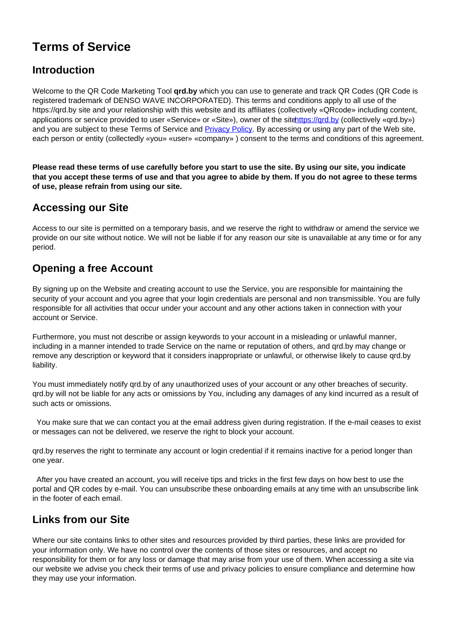# **Terms of Service**

#### **Introduction**

Welcome to the QR Code Marketing Tool **qrd.by** which you can use to generate and track QR Codes (QR Code is registered trademark of DENSO WAVE INCORPORATED). This terms and conditions apply to all use of the https://qrd.by site and your relationship with this website and its affiliates (collectively «QRcode» including content, applications or service provided to user «Service» or «Site»), owner of the sitentings://qrd.by (collectively «qrd.by») and you are subject to these Terms of Service and **Privacy Policy**. By accessing or using any part of the Web site, each person or entity (collectedly «you» «user» «company» ) consent to the terms and conditions of this agreement.

**Please read these terms of use carefully before you start to use the site. By using our site, you indicate that you accept these terms of use and that you agree to abide by them. If you do not agree to these terms of use, please refrain from using our site.** 

#### **Accessing our Site**

Access to our site is permitted on a temporary basis, and we reserve the right to withdraw or amend the service we provide on our site without notice. We will not be liable if for any reason our site is unavailable at any time or for any period.

#### **Opening a free Account**

By signing up on the Website and creating account to use the Service, you are responsible for maintaining the security of your account and you agree that your login credentials are personal and non transmissible. You are fully responsible for all activities that occur under your account and any other actions taken in connection with your account or Service.

Furthermore, you must not describe or assign keywords to your account in a misleading or unlawful manner, including in a manner intended to trade Service on the name or reputation of others, and qrd.by may change or remove any description or keyword that it considers inappropriate or unlawful, or otherwise likely to cause qrd.by liability.

You must immediately notify qrd.by of any unauthorized uses of your account or any other breaches of security. qrd.by will not be liable for any acts or omissions by You, including any damages of any kind incurred as a result of such acts or omissions.

 You make sure that we can contact you at the email address given during registration. If the e-mail ceases to exist or messages can not be delivered, we reserve the right to block your account.

qrd.by reserves the right to terminate any account or login credential if it remains inactive for a period longer than one year.

 After you have created an account, you will receive tips and tricks in the first few days on how best to use the portal and QR codes by e-mail. You can unsubscribe these onboarding emails at any time with an unsubscribe link in the footer of each email.

## **Links from our Site**

Where our site contains links to other sites and resources provided by third parties, these links are provided for your information only. We have no control over the contents of those sites or resources, and accept no responsibility for them or for any loss or damage that may arise from your use of them. When accessing a site via our website we advise you check their terms of use and privacy policies to ensure compliance and determine how they may use your information.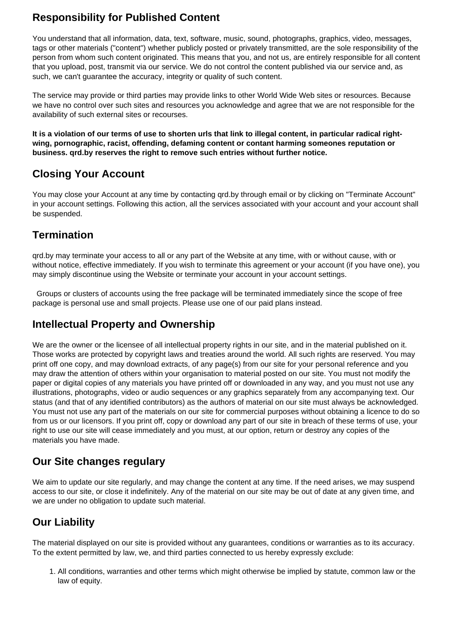## **Responsibility for Published Content**

You understand that all information, data, text, software, music, sound, photographs, graphics, video, messages, tags or other materials ("content") whether publicly posted or privately transmitted, are the sole responsibility of the person from whom such content originated. This means that you, and not us, are entirely responsible for all content that you upload, post, transmit via our service. We do not control the content published via our service and, as such, we can't guarantee the accuracy, integrity or quality of such content.

The service may provide or third parties may provide links to other World Wide Web sites or resources. Because we have no control over such sites and resources you acknowledge and agree that we are not responsible for the availability of such external sites or recourses.

**It is a violation of our terms of use to shorten urls that link to illegal content, in particular radical rightwing, pornographic, racist, offending, defaming content or contant harming someones reputation or business. qrd.by reserves the right to remove such entries without further notice.** 

# **Closing Your Account**

You may close your Account at any time by contacting qrd.by through email or by clicking on "Terminate Account" in your account settings. Following this action, all the services associated with your account and your account shall be suspended.

# **Termination**

qrd.by may terminate your access to all or any part of the Website at any time, with or without cause, with or without notice, effective immediately. If you wish to terminate this agreement or your account (if you have one), you may simply discontinue using the Website or terminate your account in your account settings.

 Groups or clusters of accounts using the free package will be terminated immediately since the scope of free package is personal use and small projects. Please use one of our paid plans instead.

#### **Intellectual Property and Ownership**

We are the owner or the licensee of all intellectual property rights in our site, and in the material published on it. Those works are protected by copyright laws and treaties around the world. All such rights are reserved. You may print off one copy, and may download extracts, of any page(s) from our site for your personal reference and you may draw the attention of others within your organisation to material posted on our site. You must not modify the paper or digital copies of any materials you have printed off or downloaded in any way, and you must not use any illustrations, photographs, video or audio sequences or any graphics separately from any accompanying text. Our status (and that of any identified contributors) as the authors of material on our site must always be acknowledged. You must not use any part of the materials on our site for commercial purposes without obtaining a licence to do so from us or our licensors. If you print off, copy or download any part of our site in breach of these terms of use, your right to use our site will cease immediately and you must, at our option, return or destroy any copies of the materials you have made.

## **Our Site changes regulary**

We aim to update our site regularly, and may change the content at any time. If the need arises, we may suspend access to our site, or close it indefinitely. Any of the material on our site may be out of date at any given time, and we are under no obligation to update such material.

# **Our Liability**

The material displayed on our site is provided without any guarantees, conditions or warranties as to its accuracy. To the extent permitted by law, we, and third parties connected to us hereby expressly exclude:

1. All conditions, warranties and other terms which might otherwise be implied by statute, common law or the law of equity.